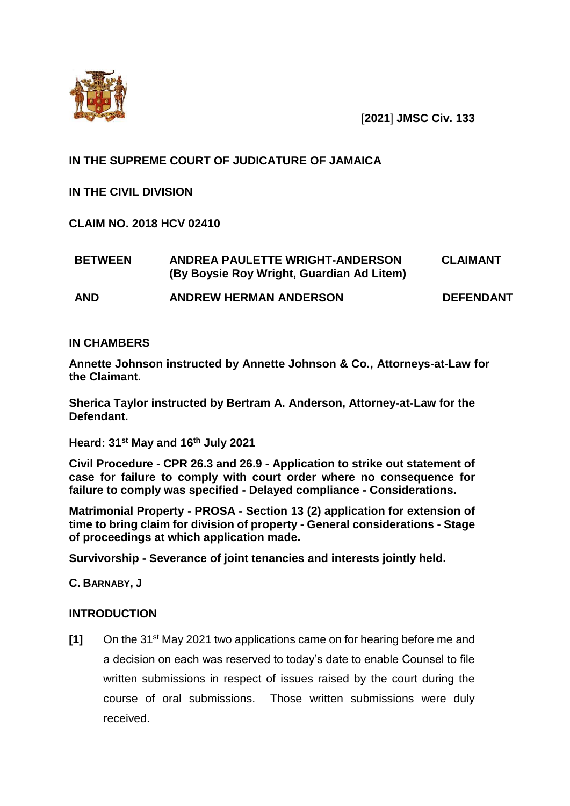

[**2021**] **JMSC Civ. 133**

# **IN THE SUPREME COURT OF JUDICATURE OF JAMAICA**

**IN THE CIVIL DIVISION**

**CLAIM NO. 2018 HCV 02410**

| <b>BETWEEN</b> | ANDREA PAULETTE WRIGHT-ANDERSON<br>(By Boysie Roy Wright, Guardian Ad Litem) | <b>CLAIMANT</b>  |
|----------------|------------------------------------------------------------------------------|------------------|
| <b>AND</b>     | <b>ANDREW HERMAN ANDERSON</b>                                                | <b>DEFENDANT</b> |

# **IN CHAMBERS**

**Annette Johnson instructed by Annette Johnson & Co., Attorneys-at-Law for the Claimant.** 

**Sherica Taylor instructed by Bertram A. Anderson, Attorney-at-Law for the Defendant.** 

**Heard: 31st May and 16th July 2021**

**Civil Procedure - CPR 26.3 and 26.9 - Application to strike out statement of case for failure to comply with court order where no consequence for failure to comply was specified - Delayed compliance - Considerations.**

**Matrimonial Property - PROSA - Section 13 (2) application for extension of time to bring claim for division of property - General considerations - Stage of proceedings at which application made.** 

**Survivorship - Severance of joint tenancies and interests jointly held.** 

**C. BARNABY, J**

# **INTRODUCTION**

**[1]** On the 31st May 2021 two applications came on for hearing before me and a decision on each was reserved to today's date to enable Counsel to file written submissions in respect of issues raised by the court during the course of oral submissions. Those written submissions were duly received.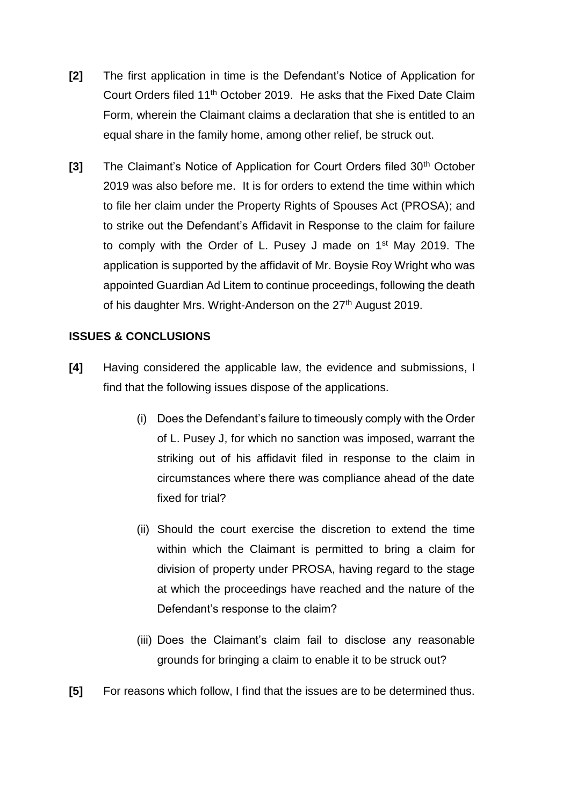- **[2]** The first application in time is the Defendant's Notice of Application for Court Orders filed 11<sup>th</sup> October 2019. He asks that the Fixed Date Claim Form, wherein the Claimant claims a declaration that she is entitled to an equal share in the family home, among other relief, be struck out.
- **[3]** The Claimant's Notice of Application for Court Orders filed 30<sup>th</sup> October 2019 was also before me. It is for orders to extend the time within which to file her claim under the Property Rights of Spouses Act (PROSA); and to strike out the Defendant's Affidavit in Response to the claim for failure to comply with the Order of L. Pusey J made on 1<sup>st</sup> May 2019. The application is supported by the affidavit of Mr. Boysie Roy Wright who was appointed Guardian Ad Litem to continue proceedings, following the death of his daughter Mrs. Wright-Anderson on the 27<sup>th</sup> August 2019.

# **ISSUES & CONCLUSIONS**

- **[4]** Having considered the applicable law, the evidence and submissions, I find that the following issues dispose of the applications.
	- (i) Does the Defendant's failure to timeously comply with the Order of L. Pusey J, for which no sanction was imposed, warrant the striking out of his affidavit filed in response to the claim in circumstances where there was compliance ahead of the date fixed for trial?
	- (ii) Should the court exercise the discretion to extend the time within which the Claimant is permitted to bring a claim for division of property under PROSA, having regard to the stage at which the proceedings have reached and the nature of the Defendant's response to the claim?
	- (iii) Does the Claimant's claim fail to disclose any reasonable grounds for bringing a claim to enable it to be struck out?
- **[5]** For reasons which follow, I find that the issues are to be determined thus.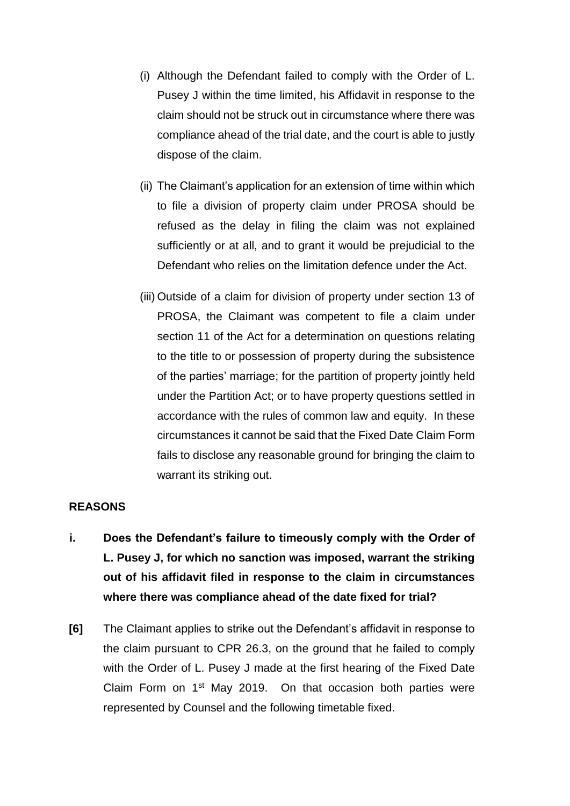- (i) Although the Defendant failed to comply with the Order of L. Pusey J within the time limited, his Affidavit in response to the claim should not be struck out in circumstance where there was compliance ahead of the trial date, and the court is able to justly dispose of the claim.
- (ii) The Claimant's application for an extension of time within which to file a division of property claim under PROSA should be refused as the delay in filing the claim was not explained sufficiently or at all, and to grant it would be prejudicial to the Defendant who relies on the limitation defence under the Act.
- (iii) Outside of a claim for division of property under section 13 of PROSA, the Claimant was competent to file a claim under section 11 of the Act for a determination on questions relating to the title to or possession of property during the subsistence of the parties' marriage; for the partition of property jointly held under the Partition Act; or to have property questions settled in accordance with the rules of common law and equity. In these circumstances it cannot be said that the Fixed Date Claim Form fails to disclose any reasonable ground for bringing the claim to warrant its striking out.

# **REASONS**

- **i. Does the Defendant's failure to timeously comply with the Order of L. Pusey J, for which no sanction was imposed, warrant the striking out of his affidavit filed in response to the claim in circumstances where there was compliance ahead of the date fixed for trial?**
- **[6]** The Claimant applies to strike out the Defendant's affidavit in response to the claim pursuant to CPR 26.3, on the ground that he failed to comply with the Order of L. Pusey J made at the first hearing of the Fixed Date Claim Form on 1st May 2019. On that occasion both parties were represented by Counsel and the following timetable fixed.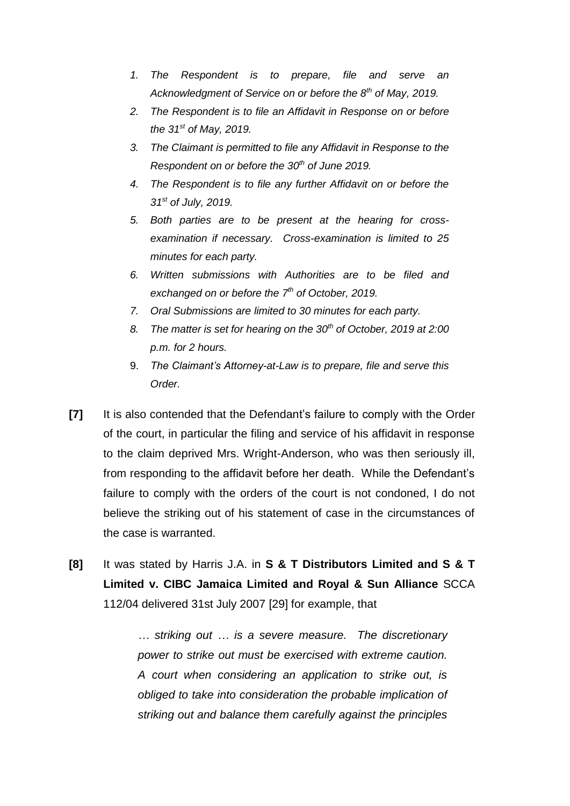- *1. The Respondent is to prepare, file and serve an Acknowledgment of Service on or before the 8th of May, 2019.*
- *2. The Respondent is to file an Affidavit in Response on or before the 31st of May, 2019.*
- *3. The Claimant is permitted to file any Affidavit in Response to the Respondent on or before the 30th of June 2019.*
- *4. The Respondent is to file any further Affidavit on or before the 31st of July, 2019.*
- *5. Both parties are to be present at the hearing for crossexamination if necessary. Cross-examination is limited to 25 minutes for each party.*
- *6. Written submissions with Authorities are to be filed and exchanged on or before the 7th of October, 2019.*
- *7. Oral Submissions are limited to 30 minutes for each party.*
- *8. The matter is set for hearing on the 30th of October, 2019 at 2:00 p.m. for 2 hours.*
- 9. *The Claimant's Attorney-at-Law is to prepare, file and serve this Order.*
- **[7]** It is also contended that the Defendant's failure to comply with the Order of the court, in particular the filing and service of his affidavit in response to the claim deprived Mrs. Wright-Anderson, who was then seriously ill, from responding to the affidavit before her death. While the Defendant's failure to comply with the orders of the court is not condoned, I do not believe the striking out of his statement of case in the circumstances of the case is warranted.
- **[8]** It was stated by Harris J.A. in **S & T Distributors Limited and S & T Limited v. CIBC Jamaica Limited and Royal & Sun Alliance** SCCA 112/04 delivered 31st July 2007 [29] for example, that

*… striking out … is a severe measure. The discretionary power to strike out must be exercised with extreme caution. A court when considering an application to strike out, is obliged to take into consideration the probable implication of striking out and balance them carefully against the principles*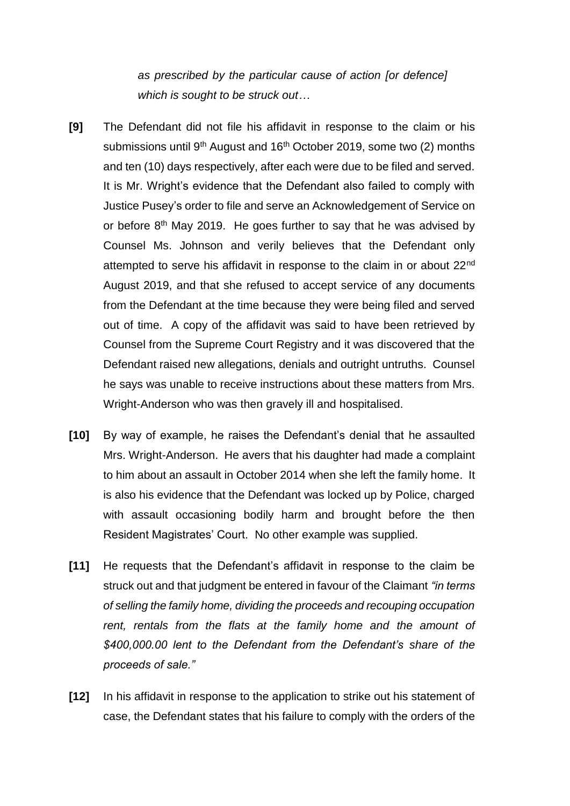*as prescribed by the particular cause of action [or defence] which is sought to be struck out…* 

- **[9]** The Defendant did not file his affidavit in response to the claim or his submissions until 9<sup>th</sup> August and 16<sup>th</sup> October 2019, some two (2) months and ten (10) days respectively, after each were due to be filed and served. It is Mr. Wright's evidence that the Defendant also failed to comply with Justice Pusey's order to file and serve an Acknowledgement of Service on or before 8<sup>th</sup> May 2019. He goes further to say that he was advised by Counsel Ms. Johnson and verily believes that the Defendant only attempted to serve his affidavit in response to the claim in or about 22nd August 2019, and that she refused to accept service of any documents from the Defendant at the time because they were being filed and served out of time. A copy of the affidavit was said to have been retrieved by Counsel from the Supreme Court Registry and it was discovered that the Defendant raised new allegations, denials and outright untruths. Counsel he says was unable to receive instructions about these matters from Mrs. Wright-Anderson who was then gravely ill and hospitalised.
- **[10]** By way of example, he raises the Defendant's denial that he assaulted Mrs. Wright-Anderson. He avers that his daughter had made a complaint to him about an assault in October 2014 when she left the family home. It is also his evidence that the Defendant was locked up by Police, charged with assault occasioning bodily harm and brought before the then Resident Magistrates' Court. No other example was supplied.
- **[11]** He requests that the Defendant's affidavit in response to the claim be struck out and that judgment be entered in favour of the Claimant *"in terms of selling the family home, dividing the proceeds and recouping occupation*  rent, rentals from the flats at the family home and the amount of *\$400,000.00 lent to the Defendant from the Defendant's share of the proceeds of sale."*
- **[12]** In his affidavit in response to the application to strike out his statement of case, the Defendant states that his failure to comply with the orders of the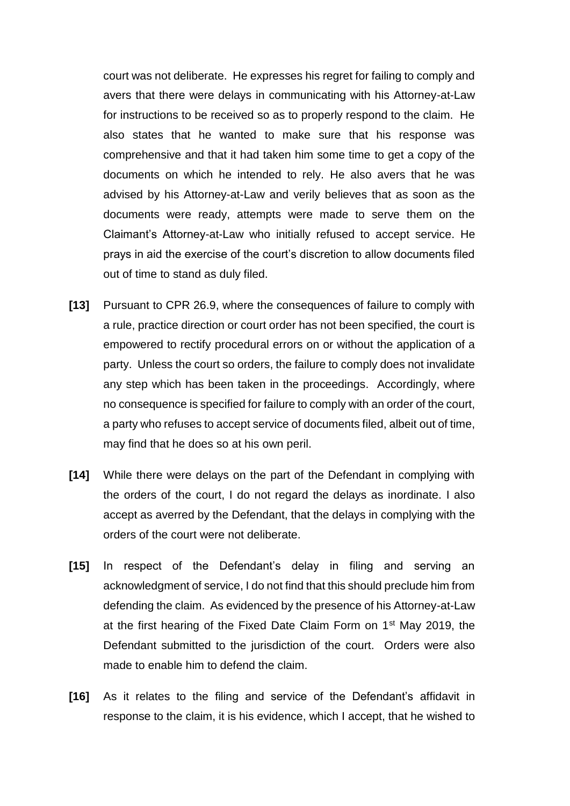court was not deliberate. He expresses his regret for failing to comply and avers that there were delays in communicating with his Attorney-at-Law for instructions to be received so as to properly respond to the claim. He also states that he wanted to make sure that his response was comprehensive and that it had taken him some time to get a copy of the documents on which he intended to rely. He also avers that he was advised by his Attorney-at-Law and verily believes that as soon as the documents were ready, attempts were made to serve them on the Claimant's Attorney-at-Law who initially refused to accept service. He prays in aid the exercise of the court's discretion to allow documents filed out of time to stand as duly filed.

- **[13]** Pursuant to CPR 26.9, where the consequences of failure to comply with a rule, practice direction or court order has not been specified, the court is empowered to rectify procedural errors on or without the application of a party. Unless the court so orders, the failure to comply does not invalidate any step which has been taken in the proceedings. Accordingly, where no consequence is specified for failure to comply with an order of the court, a party who refuses to accept service of documents filed, albeit out of time, may find that he does so at his own peril.
- **[14]** While there were delays on the part of the Defendant in complying with the orders of the court, I do not regard the delays as inordinate. I also accept as averred by the Defendant, that the delays in complying with the orders of the court were not deliberate.
- **[15]** In respect of the Defendant's delay in filing and serving an acknowledgment of service, I do not find that this should preclude him from defending the claim. As evidenced by the presence of his Attorney-at-Law at the first hearing of the Fixed Date Claim Form on 1st May 2019, the Defendant submitted to the jurisdiction of the court. Orders were also made to enable him to defend the claim.
- **[16]** As it relates to the filing and service of the Defendant's affidavit in response to the claim, it is his evidence, which I accept, that he wished to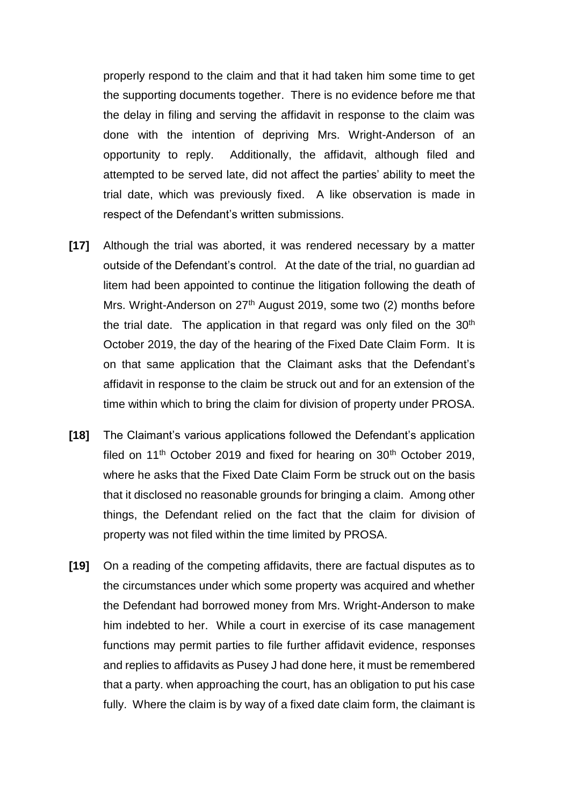properly respond to the claim and that it had taken him some time to get the supporting documents together. There is no evidence before me that the delay in filing and serving the affidavit in response to the claim was done with the intention of depriving Mrs. Wright-Anderson of an opportunity to reply. Additionally, the affidavit, although filed and attempted to be served late, did not affect the parties' ability to meet the trial date, which was previously fixed. A like observation is made in respect of the Defendant's written submissions.

- **[17]** Although the trial was aborted, it was rendered necessary by a matter outside of the Defendant's control. At the date of the trial, no guardian ad litem had been appointed to continue the litigation following the death of Mrs. Wright-Anderson on 27<sup>th</sup> August 2019, some two (2) months before the trial date. The application in that regard was only filed on the 30<sup>th</sup> October 2019, the day of the hearing of the Fixed Date Claim Form. It is on that same application that the Claimant asks that the Defendant's affidavit in response to the claim be struck out and for an extension of the time within which to bring the claim for division of property under PROSA.
- **[18]** The Claimant's various applications followed the Defendant's application filed on  $11<sup>th</sup>$  October 2019 and fixed for hearing on  $30<sup>th</sup>$  October 2019, where he asks that the Fixed Date Claim Form be struck out on the basis that it disclosed no reasonable grounds for bringing a claim. Among other things, the Defendant relied on the fact that the claim for division of property was not filed within the time limited by PROSA.
- **[19]** On a reading of the competing affidavits, there are factual disputes as to the circumstances under which some property was acquired and whether the Defendant had borrowed money from Mrs. Wright-Anderson to make him indebted to her. While a court in exercise of its case management functions may permit parties to file further affidavit evidence, responses and replies to affidavits as Pusey J had done here, it must be remembered that a party. when approaching the court, has an obligation to put his case fully. Where the claim is by way of a fixed date claim form, the claimant is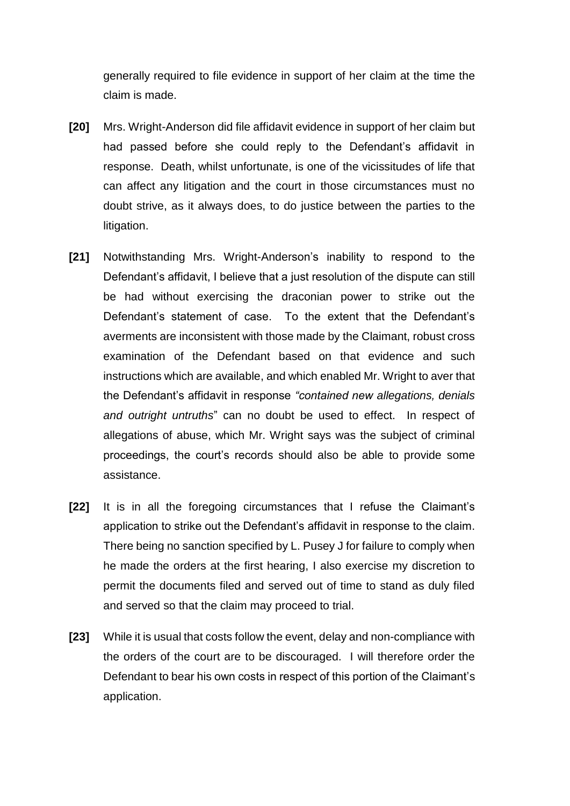generally required to file evidence in support of her claim at the time the claim is made.

- **[20]** Mrs. Wright-Anderson did file affidavit evidence in support of her claim but had passed before she could reply to the Defendant's affidavit in response. Death, whilst unfortunate, is one of the vicissitudes of life that can affect any litigation and the court in those circumstances must no doubt strive, as it always does, to do justice between the parties to the litigation.
- **[21]** Notwithstanding Mrs. Wright-Anderson's inability to respond to the Defendant's affidavit, I believe that a just resolution of the dispute can still be had without exercising the draconian power to strike out the Defendant's statement of case. To the extent that the Defendant's averments are inconsistent with those made by the Claimant, robust cross examination of the Defendant based on that evidence and such instructions which are available, and which enabled Mr. Wright to aver that the Defendant's affidavit in response *"contained new allegations, denials and outright untruths*" can no doubt be used to effect. In respect of allegations of abuse, which Mr. Wright says was the subject of criminal proceedings, the court's records should also be able to provide some assistance.
- **[22]** It is in all the foregoing circumstances that I refuse the Claimant's application to strike out the Defendant's affidavit in response to the claim. There being no sanction specified by L. Pusey J for failure to comply when he made the orders at the first hearing, I also exercise my discretion to permit the documents filed and served out of time to stand as duly filed and served so that the claim may proceed to trial.
- **[23]** While it is usual that costs follow the event, delay and non-compliance with the orders of the court are to be discouraged. I will therefore order the Defendant to bear his own costs in respect of this portion of the Claimant's application.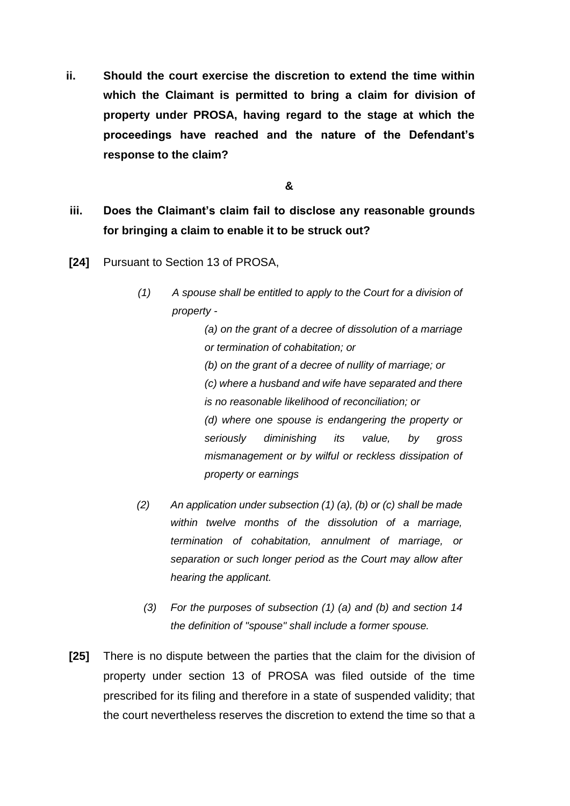**ii. Should the court exercise the discretion to extend the time within which the Claimant is permitted to bring a claim for division of property under PROSA, having regard to the stage at which the proceedings have reached and the nature of the Defendant's response to the claim?** 

**&**

- **iii. Does the Claimant's claim fail to disclose any reasonable grounds for bringing a claim to enable it to be struck out?**
- **[24]** Pursuant to Section 13 of PROSA,
	- *(1) A spouse shall be entitled to apply to the Court for a division of property -*

*(a) on the grant of a decree of dissolution of a marriage or termination of cohabitation; or (b) on the grant of a decree of nullity of marriage; or (c) where a husband and wife have separated and there is no reasonable likelihood of reconciliation; or (d) where one spouse is endangering the property or seriously diminishing its value, by gross mismanagement or by wilful or reckless dissipation of property or earnings*

- *(2) An application under subsection (1) (a), (b) or (c) shall be made within twelve months of the dissolution of a marriage, termination of cohabitation, annulment of marriage, or separation or such longer period as the Court may allow after hearing the applicant.*
	- *(3) For the purposes of subsection (1) (a) and (b) and section 14 the definition of "spouse" shall include a former spouse.*
- **[25]** There is no dispute between the parties that the claim for the division of property under section 13 of PROSA was filed outside of the time prescribed for its filing and therefore in a state of suspended validity; that the court nevertheless reserves the discretion to extend the time so that a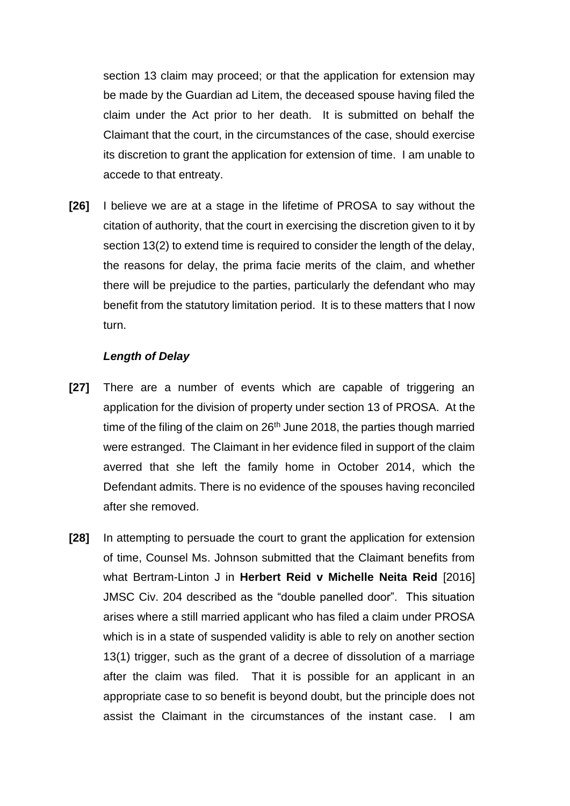section 13 claim may proceed; or that the application for extension may be made by the Guardian ad Litem, the deceased spouse having filed the claim under the Act prior to her death. It is submitted on behalf the Claimant that the court, in the circumstances of the case, should exercise its discretion to grant the application for extension of time. I am unable to accede to that entreaty.

**[26]** I believe we are at a stage in the lifetime of PROSA to say without the citation of authority, that the court in exercising the discretion given to it by section 13(2) to extend time is required to consider the length of the delay, the reasons for delay, the prima facie merits of the claim, and whether there will be prejudice to the parties, particularly the defendant who may benefit from the statutory limitation period. It is to these matters that I now turn.

### *Length of Delay*

- **[27]** There are a number of events which are capable of triggering an application for the division of property under section 13 of PROSA. At the time of the filing of the claim on  $26<sup>th</sup>$  June 2018, the parties though married were estranged.The Claimant in her evidence filed in support of the claim averred that she left the family home in October 2014, which the Defendant admits. There is no evidence of the spouses having reconciled after she removed.
- **[28]** In attempting to persuade the court to grant the application for extension of time, Counsel Ms. Johnson submitted that the Claimant benefits from what Bertram-Linton J in **Herbert Reid v Michelle Neita Reid** [2016] JMSC Civ. 204 described as the "double panelled door". This situation arises where a still married applicant who has filed a claim under PROSA which is in a state of suspended validity is able to rely on another section 13(1) trigger, such as the grant of a decree of dissolution of a marriage after the claim was filed. That it is possible for an applicant in an appropriate case to so benefit is beyond doubt, but the principle does not assist the Claimant in the circumstances of the instant case. I am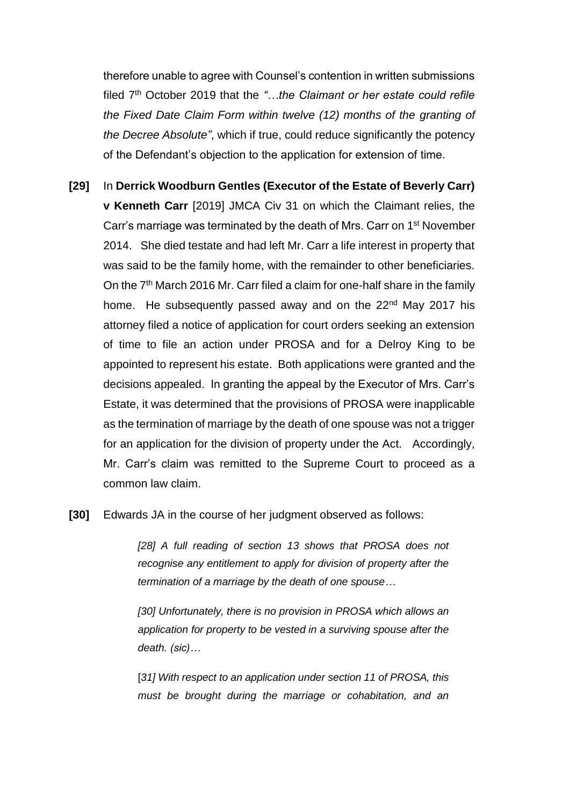therefore unable to agree with Counsel's contention in written submissions filed 7<sup>th</sup> October 2019 that the "...the Claimant or her estate could refile *the Fixed Date Claim Form within twelve (12) months of the granting of the Decree Absolute"*, which if true, could reduce significantly the potency of the Defendant's objection to the application for extension of time.

- **[29]** In **Derrick Woodburn Gentles (Executor of the Estate of Beverly Carr) v Kenneth Carr** [2019] JMCA Civ 31 on which the Claimant relies, the Carr's marriage was terminated by the death of Mrs. Carr on 1st November 2014. She died testate and had left Mr. Carr a life interest in property that was said to be the family home, with the remainder to other beneficiaries. On the 7<sup>th</sup> March 2016 Mr. Carr filed a claim for one-half share in the family home. He subsequently passed away and on the 22<sup>nd</sup> May 2017 his attorney filed a notice of application for court orders seeking an extension of time to file an action under PROSA and for a Delroy King to be appointed to represent his estate. Both applications were granted and the decisions appealed. In granting the appeal by the Executor of Mrs. Carr's Estate, it was determined that the provisions of PROSA were inapplicable as the termination of marriage by the death of one spouse was not a trigger for an application for the division of property under the Act. Accordingly, Mr. Carr's claim was remitted to the Supreme Court to proceed as a common law claim.
- **[30]** Edwards JA in the course of her judgment observed as follows:

*[28] A full reading of section 13 shows that PROSA does not recognise any entitlement to apply for division of property after the termination of a marriage by the death of one spouse…*

*[30] Unfortunately, there is no provision in PROSA which allows an application for property to be vested in a surviving spouse after the death. (sic)…*

[31] With respect to an application under section 11 of PROSA, this *must be brought during the marriage or cohabitation, and an*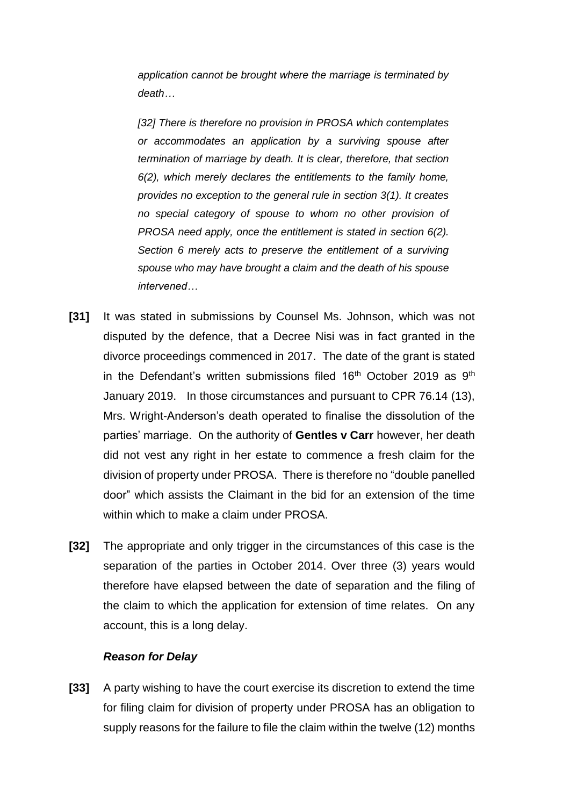*application cannot be brought where the marriage is terminated by death…*

*[32] There is therefore no provision in PROSA which contemplates or accommodates an application by a surviving spouse after termination of marriage by death. It is clear, therefore, that section 6(2), which merely declares the entitlements to the family home, provides no exception to the general rule in section 3(1). It creates no special category of spouse to whom no other provision of PROSA need apply, once the entitlement is stated in section 6(2). Section 6 merely acts to preserve the entitlement of a surviving spouse who may have brought a claim and the death of his spouse intervened…*

- **[31]** It was stated in submissions by Counsel Ms. Johnson, which was not disputed by the defence, that a Decree Nisi was in fact granted in the divorce proceedings commenced in 2017. The date of the grant is stated in the Defendant's written submissions filed 16<sup>th</sup> October 2019 as 9<sup>th</sup> January 2019. In those circumstances and pursuant to CPR 76.14 (13), Mrs. Wright-Anderson's death operated to finalise the dissolution of the parties' marriage. On the authority of **Gentles v Carr** however, her death did not vest any right in her estate to commence a fresh claim for the division of property under PROSA. There is therefore no "double panelled door" which assists the Claimant in the bid for an extension of the time within which to make a claim under PROSA.
- **[32]** The appropriate and only trigger in the circumstances of this case is the separation of the parties in October 2014. Over three (3) years would therefore have elapsed between the date of separation and the filing of the claim to which the application for extension of time relates. On any account, this is a long delay.

#### *Reason for Delay*

**[33]** A party wishing to have the court exercise its discretion to extend the time for filing claim for division of property under PROSA has an obligation to supply reasons for the failure to file the claim within the twelve (12) months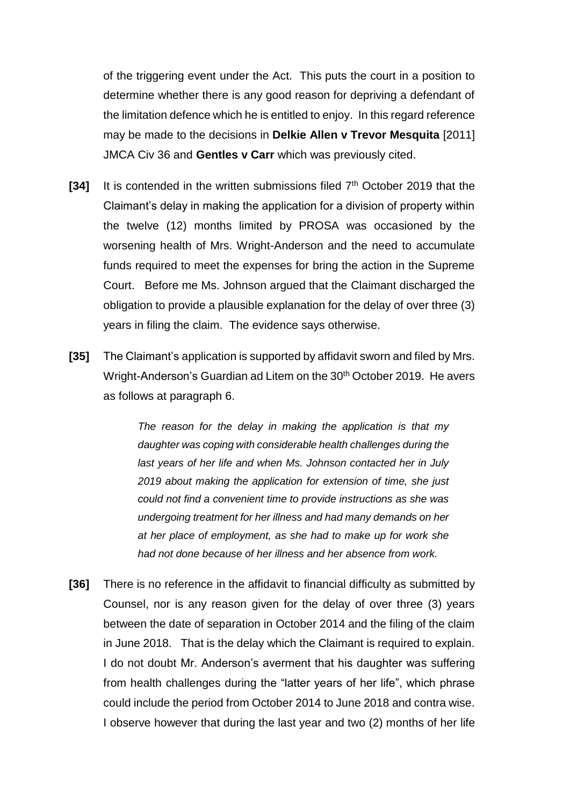of the triggering event under the Act. This puts the court in a position to determine whether there is any good reason for depriving a defendant of the limitation defence which he is entitled to enjoy. In this regard reference may be made to the decisions in **Delkie Allen v Trevor Mesquita** [2011] JMCA Civ 36 and **Gentles v Carr** which was previously cited.

- **[34]** It is contended in the written submissions filed 7<sup>th</sup> October 2019 that the Claimant's delay in making the application for a division of property within the twelve (12) months limited by PROSA was occasioned by the worsening health of Mrs. Wright-Anderson and the need to accumulate funds required to meet the expenses for bring the action in the Supreme Court. Before me Ms. Johnson argued that the Claimant discharged the obligation to provide a plausible explanation for the delay of over three (3) years in filing the claim. The evidence says otherwise.
- **[35]** The Claimant's application is supported by affidavit sworn and filed by Mrs. Wright-Anderson's Guardian ad Litem on the 30<sup>th</sup> October 2019. He avers as follows at paragraph 6.

*The reason for the delay in making the application is that my daughter was coping with considerable health challenges during the last years of her life and when Ms. Johnson contacted her in July 2019 about making the application for extension of time, she just could not find a convenient time to provide instructions as she was undergoing treatment for her illness and had many demands on her at her place of employment, as she had to make up for work she had not done because of her illness and her absence from work.* 

**[36]** There is no reference in the affidavit to financial difficulty as submitted by Counsel, nor is any reason given for the delay of over three (3) years between the date of separation in October 2014 and the filing of the claim in June 2018. That is the delay which the Claimant is required to explain. I do not doubt Mr. Anderson's averment that his daughter was suffering from health challenges during the "latter years of her life", which phrase could include the period from October 2014 to June 2018 and contra wise. I observe however that during the last year and two (2) months of her life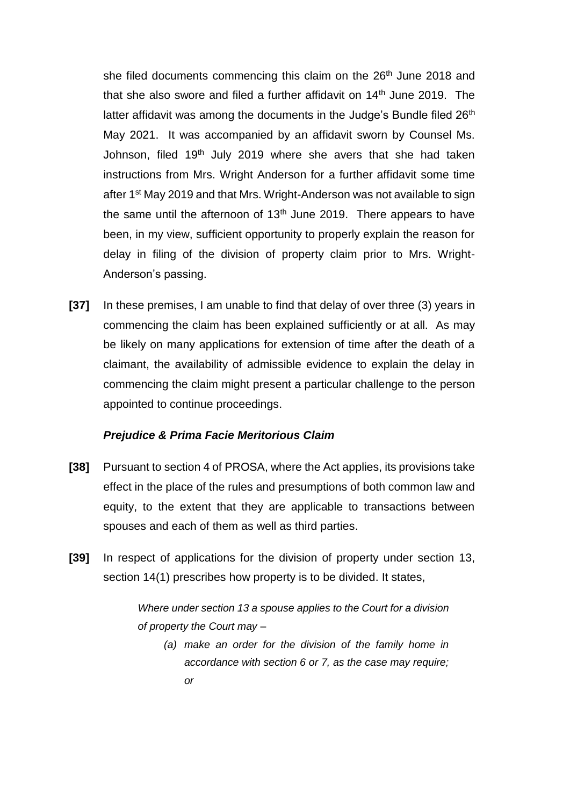she filed documents commencing this claim on the 26<sup>th</sup> June 2018 and that she also swore and filed a further affidavit on  $14<sup>th</sup>$  June 2019. The latter affidavit was among the documents in the Judge's Bundle filed 26<sup>th</sup> May 2021. It was accompanied by an affidavit sworn by Counsel Ms. Johnson, filed 19<sup>th</sup> July 2019 where she avers that she had taken instructions from Mrs. Wright Anderson for a further affidavit some time after 1st May 2019 and that Mrs. Wright-Anderson was not available to sign the same until the afternoon of  $13<sup>th</sup>$  June 2019. There appears to have been, in my view, sufficient opportunity to properly explain the reason for delay in filing of the division of property claim prior to Mrs. Wright-Anderson's passing.

**[37]** In these premises, I am unable to find that delay of over three (3) years in commencing the claim has been explained sufficiently or at all. As may be likely on many applications for extension of time after the death of a claimant, the availability of admissible evidence to explain the delay in commencing the claim might present a particular challenge to the person appointed to continue proceedings.

# *Prejudice & Prima Facie Meritorious Claim*

- **[38]** Pursuant to section 4 of PROSA, where the Act applies, its provisions take effect in the place of the rules and presumptions of both common law and equity, to the extent that they are applicable to transactions between spouses and each of them as well as third parties.
- **[39]** In respect of applications for the division of property under section 13, section 14(1) prescribes how property is to be divided. It states,

*Where under section 13 a spouse applies to the Court for a division of property the Court may –*

*(a) make an order for the division of the family home in accordance with section 6 or 7, as the case may require; or*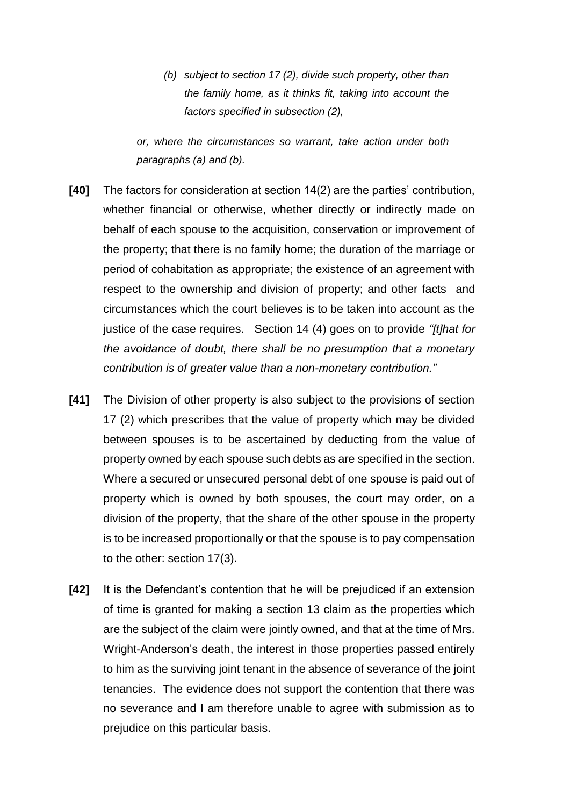*(b) subject to section 17 (2), divide such property, other than the family home, as it thinks fit, taking into account the factors specified in subsection (2),* 

*or, where the circumstances so warrant, take action under both paragraphs (a) and (b).*

- **[40]** The factors for consideration at section 14(2) are the parties' contribution, whether financial or otherwise, whether directly or indirectly made on behalf of each spouse to the acquisition, conservation or improvement of the property; that there is no family home; the duration of the marriage or period of cohabitation as appropriate; the existence of an agreement with respect to the ownership and division of property; and other facts and circumstances which the court believes is to be taken into account as the justice of the case requires. Section 14 (4) goes on to provide *"[t]hat for the avoidance of doubt, there shall be no presumption that a monetary contribution is of greater value than a non-monetary contribution."*
- **[41]** The Division of other property is also subject to the provisions of section 17 (2) which prescribes that the value of property which may be divided between spouses is to be ascertained by deducting from the value of property owned by each spouse such debts as are specified in the section. Where a secured or unsecured personal debt of one spouse is paid out of property which is owned by both spouses, the court may order, on a division of the property, that the share of the other spouse in the property is to be increased proportionally or that the spouse is to pay compensation to the other: section 17(3).
- **[42]** It is the Defendant's contention that he will be prejudiced if an extension of time is granted for making a section 13 claim as the properties which are the subject of the claim were jointly owned, and that at the time of Mrs. Wright-Anderson's death, the interest in those properties passed entirely to him as the surviving joint tenant in the absence of severance of the joint tenancies. The evidence does not support the contention that there was no severance and I am therefore unable to agree with submission as to prejudice on this particular basis.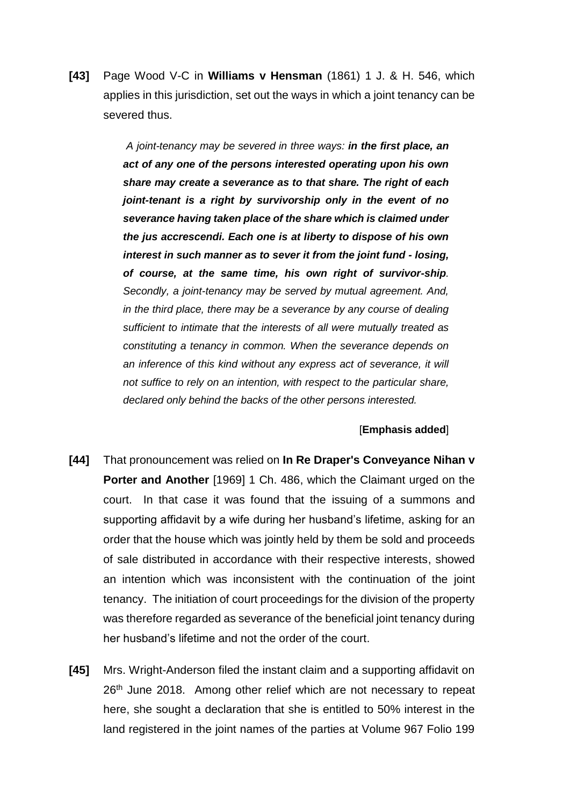**[43]** Page Wood V-C in **Williams v Hensman** (1861) 1 J. & H. 546, which applies in this jurisdiction, set out the ways in which a joint tenancy can be severed thus.

> *A joint-tenancy may be severed in three ways: in the first place, an act of any one of the persons interested operating upon his own share may create a severance as to that share. The right of each joint-tenant is a right by survivorship only in the event of no severance having taken place of the share which is claimed under the jus accrescendi. Each one is at liberty to dispose of his own interest in such manner as to sever it from the joint fund - losing, of course, at the same time, his own right of survivor-ship. Secondly, a joint-tenancy may be served by mutual agreement. And, in the third place, there may be a severance by any course of dealing sufficient to intimate that the interests of all were mutually treated as constituting a tenancy in common. When the severance depends on*  an inference of this kind without any express act of severance, it will *not suffice to rely on an intention, with respect to the particular share, declared only behind the backs of the other persons interested.*

#### [**Emphasis added**]

- **[44]** That pronouncement was relied on **In Re Draper's Conveyance Nihan v Porter and Another** [1969] 1 Ch. 486, which the Claimant urged on the court. In that case it was found that the issuing of a summons and supporting affidavit by a wife during her husband's lifetime, asking for an order that the house which was jointly held by them be sold and proceeds of sale distributed in accordance with their respective interests, showed an intention which was inconsistent with the continuation of the joint tenancy. The initiation of court proceedings for the division of the property was therefore regarded as severance of the beneficial joint tenancy during her husband's lifetime and not the order of the court.
- **[45]** Mrs. Wright-Anderson filed the instant claim and a supporting affidavit on 26<sup>th</sup> June 2018. Among other relief which are not necessary to repeat here, she sought a declaration that she is entitled to 50% interest in the land registered in the joint names of the parties at Volume 967 Folio 199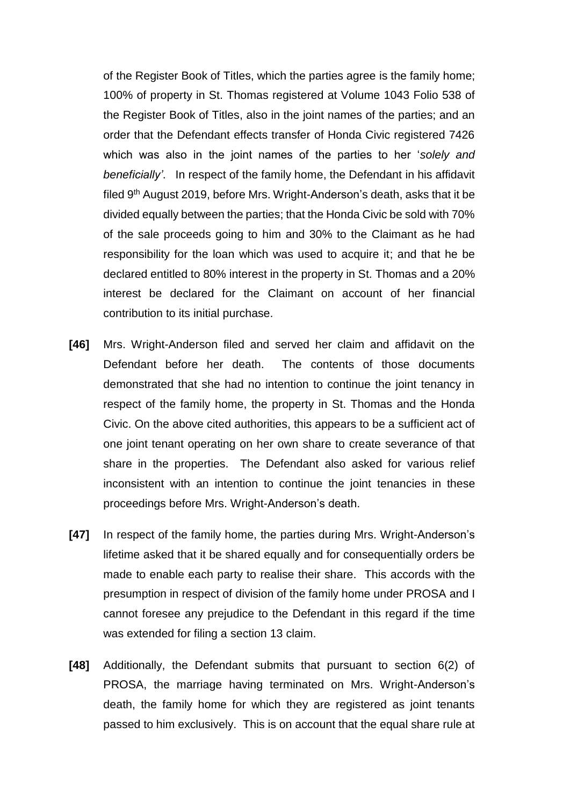of the Register Book of Titles, which the parties agree is the family home; 100% of property in St. Thomas registered at Volume 1043 Folio 538 of the Register Book of Titles, also in the joint names of the parties; and an order that the Defendant effects transfer of Honda Civic registered 7426 which was also in the joint names of the parties to her '*solely and beneficially'*. In respect of the family home, the Defendant in his affidavit filed 9th August 2019, before Mrs. Wright-Anderson's death, asks that it be divided equally between the parties; that the Honda Civic be sold with 70% of the sale proceeds going to him and 30% to the Claimant as he had responsibility for the loan which was used to acquire it; and that he be declared entitled to 80% interest in the property in St. Thomas and a 20% interest be declared for the Claimant on account of her financial contribution to its initial purchase.

- **[46]** Mrs. Wright-Anderson filed and served her claim and affidavit on the Defendant before her death. The contents of those documents demonstrated that she had no intention to continue the joint tenancy in respect of the family home, the property in St. Thomas and the Honda Civic. On the above cited authorities, this appears to be a sufficient act of one joint tenant operating on her own share to create severance of that share in the properties. The Defendant also asked for various relief inconsistent with an intention to continue the joint tenancies in these proceedings before Mrs. Wright-Anderson's death.
- **[47]** In respect of the family home, the parties during Mrs. Wright-Anderson's lifetime asked that it be shared equally and for consequentially orders be made to enable each party to realise their share. This accords with the presumption in respect of division of the family home under PROSA and I cannot foresee any prejudice to the Defendant in this regard if the time was extended for filing a section 13 claim.
- **[48]** Additionally, the Defendant submits that pursuant to section 6(2) of PROSA, the marriage having terminated on Mrs. Wright-Anderson's death, the family home for which they are registered as joint tenants passed to him exclusively. This is on account that the equal share rule at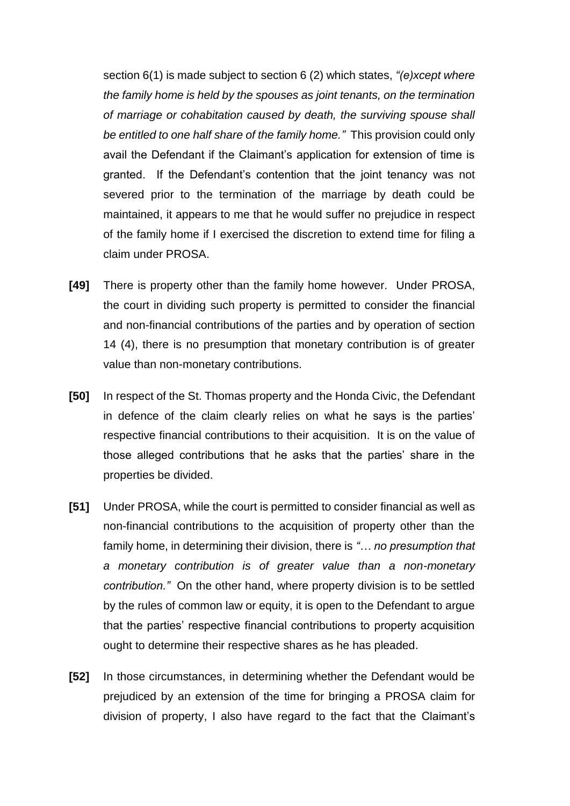section 6(1) is made subject to section 6 (2) which states, *"(e)xcept where the family home is held by the spouses as joint tenants, on the termination of marriage or cohabitation caused by death, the surviving spouse shall be entitled to one half share of the family home."* This provision could only avail the Defendant if the Claimant's application for extension of time is granted. If the Defendant's contention that the joint tenancy was not severed prior to the termination of the marriage by death could be maintained, it appears to me that he would suffer no prejudice in respect of the family home if I exercised the discretion to extend time for filing a claim under PROSA.

- **[49]** There is property other than the family home however. Under PROSA, the court in dividing such property is permitted to consider the financial and non-financial contributions of the parties and by operation of section 14 (4), there is no presumption that monetary contribution is of greater value than non-monetary contributions.
- **[50]** In respect of the St. Thomas property and the Honda Civic, the Defendant in defence of the claim clearly relies on what he says is the parties' respective financial contributions to their acquisition. It is on the value of those alleged contributions that he asks that the parties' share in the properties be divided.
- **[51]** Under PROSA, while the court is permitted to consider financial as well as non-financial contributions to the acquisition of property other than the family home, in determining their division, there is *"… no presumption that a monetary contribution is of greater value than a non-monetary contribution."* On the other hand, where property division is to be settled by the rules of common law or equity, it is open to the Defendant to argue that the parties' respective financial contributions to property acquisition ought to determine their respective shares as he has pleaded.
- **[52]** In those circumstances, in determining whether the Defendant would be prejudiced by an extension of the time for bringing a PROSA claim for division of property, I also have regard to the fact that the Claimant's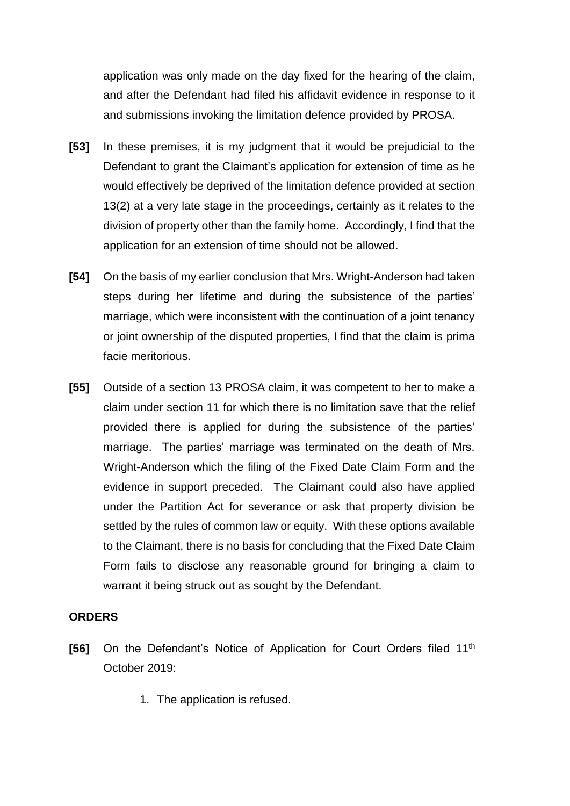application was only made on the day fixed for the hearing of the claim, and after the Defendant had filed his affidavit evidence in response to it and submissions invoking the limitation defence provided by PROSA.

- **[53]** In these premises, it is my judgment that it would be prejudicial to the Defendant to grant the Claimant's application for extension of time as he would effectively be deprived of the limitation defence provided at section 13(2) at a very late stage in the proceedings, certainly as it relates to the division of property other than the family home. Accordingly, I find that the application for an extension of time should not be allowed.
- **[54]** On the basis of my earlier conclusion that Mrs. Wright-Anderson had taken steps during her lifetime and during the subsistence of the parties' marriage, which were inconsistent with the continuation of a joint tenancy or joint ownership of the disputed properties, I find that the claim is prima facie meritorious.
- **[55]** Outside of a section 13 PROSA claim, it was competent to her to make a claim under section 11 for which there is no limitation save that the relief provided there is applied for during the subsistence of the parties' marriage. The parties' marriage was terminated on the death of Mrs. Wright-Anderson which the filing of the Fixed Date Claim Form and the evidence in support preceded. The Claimant could also have applied under the Partition Act for severance or ask that property division be settled by the rules of common law or equity. With these options available to the Claimant, there is no basis for concluding that the Fixed Date Claim Form fails to disclose any reasonable ground for bringing a claim to warrant it being struck out as sought by the Defendant.

# **ORDERS**

- [56] On the Defendant's Notice of Application for Court Orders filed 11<sup>th</sup> October 2019:
	- 1. The application is refused.